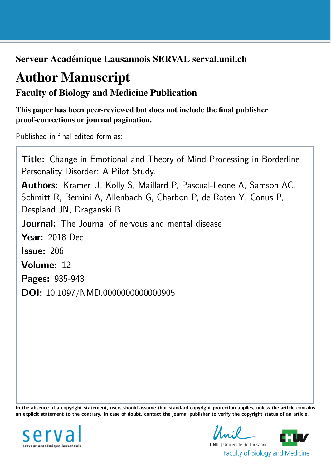Serveur Académique Lausannois SERVAL serval.unil.ch

# Author Manuscript

Faculty of Biology and Medicine Publication

This paper has been peer-reviewed but does not include the final publisher proof-corrections or journal pagination.

Published in final edited form as:

Title: Change in Emotional and Theory of Mind Processing in Borderline Personality Disorder: A Pilot Study. Authors: Kramer U, Kolly S, Maillard P, Pascual-Leone A, Samson AC, Schmitt R, Bernini A, Allenbach G, Charbon P, de Roten Y, Conus P, Despland JN, Draganski B **Journal:** The Journal of nervous and mental disease Year: 2018 Dec Issue: 206 Volume: 12 Pages: 935-943 DOI: [10.1097/NMD.0000000000000905](http://dx.doi.org/10.1097/NMD.0000000000000905)

In the absence of a copyright statement, users should assume that standard copyright protection applies, unless the article contains an explicit statement to the contrary. In case of doubt, contact the journal publisher to verify the copyright status of an article.



**UNIL** | Université de Lausanne **Faculty of Biology and Medicine**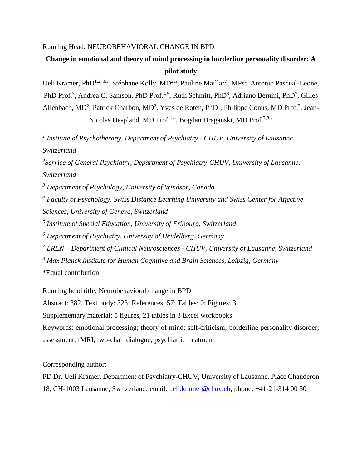#### Running Head: NEUROBEHAVIORAL CHANGE IN BPD

## **Change in emotional and theory of mind processing in borderline personality disorder: A pilot study**

Ueli Kramer, PhD<sup>1,2,3\*</sup>, Stéphane Kolly, MD<sup>2\*</sup>, Pauline Maillard, MPs<sup>1</sup>, Antonio Pascual-Leone, PhD Prof.<sup>3</sup>, Andrea C. Samson, PhD Prof.<sup>4,5</sup>, Ruth Schmitt, PhD<sup>6</sup>, Adriano Bernini, PhD<sup>7</sup>, Gilles Allenbach, MD<sup>2</sup>, Patrick Charbon, MD<sup>2</sup>, Yves de Roten, PhD<sup>1</sup>, Philippe Conus, MD Prof.<sup>2</sup>, Jean-Nicolas Despland, MD Prof.<sup>1\*</sup>, Bogdan Draganski, MD Prof.<sup>7,8\*</sup>

*<sup>1</sup> Institute of Psychotherapy, Department of Psychiatry - CHUV, University of Lausanne, Switzerland*

*2 Service of General Psychiatry, Department of Psychiatry-CHUV, University of Lausanne, Switzerland*

*<sup>3</sup> Department of Psychology, University of Windsor, Canada*

*<sup>4</sup> Faculty of Psychology, Swiss Distance Learning University and Swiss Center for Affective Sciences, University of Geneva, Switzerland*

*<sup>5</sup> Institute of Special Education, University of Fribourg, Switzerland*

*<sup>6</sup> Department of Psychiatry, University of Heidelberg, Germany*

*<sup>7</sup> LREN – Department of Clinical Neurosciences - CHUV, University of Lausanne, Switzerland <sup>8</sup> Max Planck Institute for Human Cognitive and Brain Sciences, Leipzig, Germany*

\*Equal contribution

Running head title: Neurobehavioral change in BPD

Abstract: 382, Text body: 323; References: 57; Tables: 0: Figures: 3

Supplementary material: 5 figures, 21 tables in 3 Excel workbooks

Keywords: emotional processing; theory of mind; self-criticism; borderline personality disorder; assessment; fMRI; two-chair dialogue; psychiatric treatment

Corresponding author:

PD Dr. Ueli Kramer, Department of Psychiatry-CHUV, University of Lausanne, Place Chauderon 18, CH-1003 Lausanne, Switzerland; email: [ueli.kramer@chuv.ch;](mailto:ueli.kramer@chuv.ch) phone: +41-21-314 00 50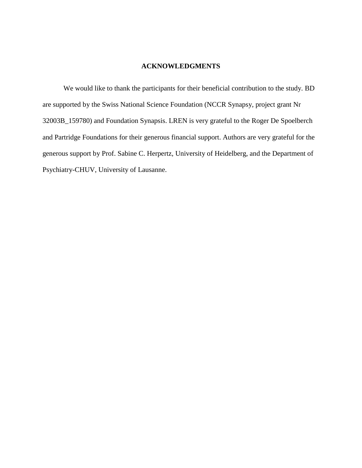#### **ACKNOWLEDGMENTS**

We would like to thank the participants for their beneficial contribution to the study. BD are supported by the Swiss National Science Foundation (NCCR Synapsy, project grant Nr 32003B\_159780) and Foundation Synapsis. LREN is very grateful to the Roger De Spoelberch and Partridge Foundations for their generous financial support. Authors are very grateful for the generous support by Prof. Sabine C. Herpertz, University of Heidelberg, and the Department of Psychiatry-CHUV, University of Lausanne.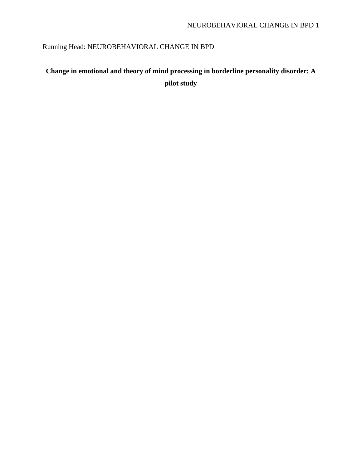## Running Head: NEUROBEHAVIORAL CHANGE IN BPD

## **Change in emotional and theory of mind processing in borderline personality disorder: A pilot study**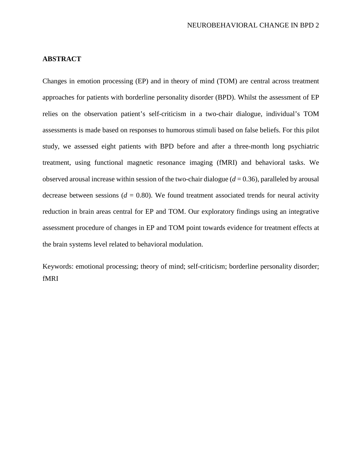#### **ABSTRACT**

Changes in emotion processing (EP) and in theory of mind (TOM) are central across treatment approaches for patients with borderline personality disorder (BPD). Whilst the assessment of EP relies on the observation patient's self-criticism in a two-chair dialogue, individual's TOM assessments is made based on responses to humorous stimuli based on false beliefs. For this pilot study, we assessed eight patients with BPD before and after a three-month long psychiatric treatment, using functional magnetic resonance imaging (fMRI) and behavioral tasks. We observed arousal increase within session of the two-chair dialogue (*d* = 0.36), paralleled by arousal decrease between sessions ( $d = 0.80$ ). We found treatment associated trends for neural activity reduction in brain areas central for EP and TOM. Our exploratory findings using an integrative assessment procedure of changes in EP and TOM point towards evidence for treatment effects at the brain systems level related to behavioral modulation.

Keywords: emotional processing; theory of mind; self-criticism; borderline personality disorder; fMRI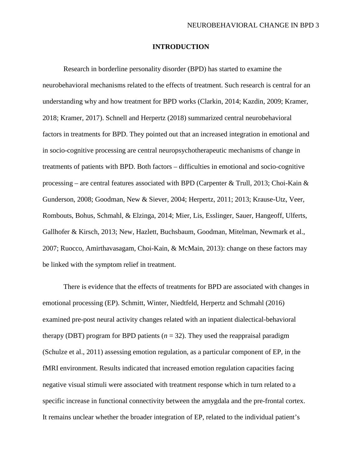#### **INTRODUCTION**

Research in borderline personality disorder (BPD) has started to examine the neurobehavioral mechanisms related to the effects of treatment. Such research is central for an understanding why and how treatment for BPD works (Clarkin, 2014; Kazdin, 2009; Kramer, 2018; Kramer, 2017). Schnell and Herpertz (2018) summarized central neurobehavioral factors in treatments for BPD. They pointed out that an increased integration in emotional and in socio-cognitive processing are central neuropsychotherapeutic mechanisms of change in treatments of patients with BPD. Both factors – difficulties in emotional and socio-cognitive processing – are central features associated with BPD (Carpenter & Trull, 2013; Choi-Kain & Gunderson, 2008; Goodman, New & Siever, 2004; Herpertz, 2011; 2013; Krause-Utz, Veer, Rombouts, Bohus, Schmahl, & Elzinga, 2014; Mier, Lis, Esslinger, Sauer, Hangeoff, Ulferts, Gallhofer & Kirsch, 2013; New, Hazlett, Buchsbaum, Goodman, Mitelman, Newmark et al., 2007; Ruocco, Amirthavasagam, Choi-Kain, & McMain, 2013): change on these factors may be linked with the symptom relief in treatment.

There is evidence that the effects of treatments for BPD are associated with changes in emotional processing (EP). Schmitt, Winter, Niedtfeld, Herpertz and Schmahl (2016) examined pre-post neural activity changes related with an inpatient dialectical-behavioral therapy (DBT) program for BPD patients  $(n = 32)$ . They used the reappraisal paradigm (Schulze et al., 2011) assessing emotion regulation, as a particular component of EP, in the fMRI environment. Results indicated that increased emotion regulation capacities facing negative visual stimuli were associated with treatment response which in turn related to a specific increase in functional connectivity between the amygdala and the pre-frontal cortex. It remains unclear whether the broader integration of EP, related to the individual patient's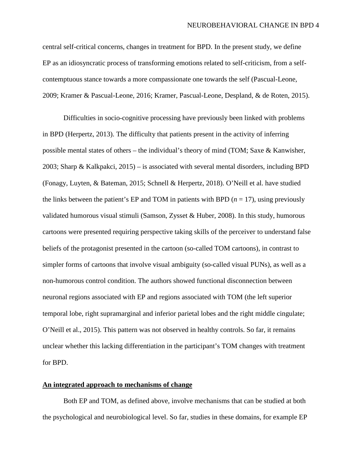central self-critical concerns, changes in treatment for BPD. In the present study, we define EP as an idiosyncratic process of transforming emotions related to self-criticism, from a selfcontemptuous stance towards a more compassionate one towards the self (Pascual-Leone, 2009; Kramer & Pascual-Leone, 2016; Kramer, Pascual-Leone, Despland, & de Roten, 2015).

Difficulties in socio-cognitive processing have previously been linked with problems in BPD (Herpertz, 2013). The difficulty that patients present in the activity of inferring possible mental states of others – the individual's theory of mind (TOM; Saxe & Kanwisher, 2003; Sharp & Kalkpakci, 2015) – is associated with several mental disorders, including BPD (Fonagy, Luyten, & Bateman, 2015; Schnell & Herpertz, 2018). O'Neill et al. have studied the links between the patient's EP and TOM in patients with BPD  $(n = 17)$ , using previously validated humorous visual stimuli (Samson, Zysset & Huber, 2008). In this study, humorous cartoons were presented requiring perspective taking skills of the perceiver to understand false beliefs of the protagonist presented in the cartoon (so-called TOM cartoons), in contrast to simpler forms of cartoons that involve visual ambiguity (so-called visual PUNs), as well as a non-humorous control condition. The authors showed functional disconnection between neuronal regions associated with EP and regions associated with TOM (the left superior temporal lobe, right supramarginal and inferior parietal lobes and the right middle cingulate; O'Neill et al., 2015). This pattern was not observed in healthy controls. So far, it remains unclear whether this lacking differentiation in the participant's TOM changes with treatment for BPD.

#### **An integrated approach to mechanisms of change**

Both EP and TOM, as defined above, involve mechanisms that can be studied at both the psychological and neurobiological level. So far, studies in these domains, for example EP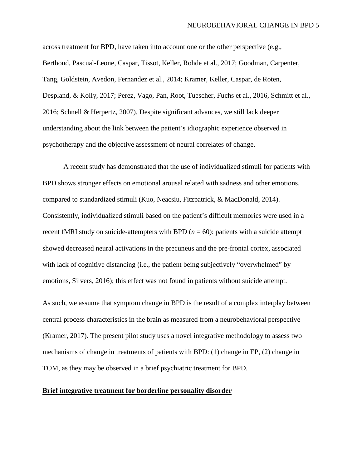across treatment for BPD, have taken into account one or the other perspective (e.g., Berthoud, Pascual-Leone, Caspar, Tissot, Keller, Rohde et al., 2017; Goodman, Carpenter, Tang, Goldstein, Avedon, Fernandez et al., 2014; Kramer, Keller, Caspar, de Roten, Despland, & Kolly, 2017; Perez, Vago, Pan, Root, Tuescher, Fuchs et al., 2016, Schmitt et al., 2016; Schnell & Herpertz, 2007). Despite significant advances, we still lack deeper understanding about the link between the patient's idiographic experience observed in psychotherapy and the objective assessment of neural correlates of change.

A recent study has demonstrated that the use of individualized stimuli for patients with BPD shows stronger effects on emotional arousal related with sadness and other emotions, compared to standardized stimuli (Kuo, Neacsiu, Fitzpatrick, & MacDonald, 2014). Consistently, individualized stimuli based on the patient's difficult memories were used in a recent fMRI study on suicide-attempters with BPD  $(n = 60)$ : patients with a suicide attempt showed decreased neural activations in the precuneus and the pre-frontal cortex, associated with lack of cognitive distancing (i.e., the patient being subjectively "overwhelmed" by emotions, Silvers, 2016); this effect was not found in patients without suicide attempt.

As such, we assume that symptom change in BPD is the result of a complex interplay between central process characteristics in the brain as measured from a neurobehavioral perspective (Kramer, 2017). The present pilot study uses a novel integrative methodology to assess two mechanisms of change in treatments of patients with BPD: (1) change in EP, (2) change in TOM, as they may be observed in a brief psychiatric treatment for BPD.

#### **Brief integrative treatment for borderline personality disorder**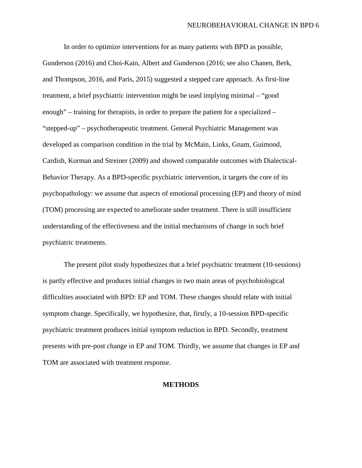In order to optimize interventions for as many patients with BPD as possible, Gunderson (2016) and Choi-Kain, Albert and Gunderson (2016; see also Chanen, Berk, and Thompson, 2016, and Paris, 2015) suggested a stepped care approach. As first-line treatment, a brief psychiatric intervention might be used implying minimal – "good enough" – training for therapists, in order to prepare the patient for a specialized – "stepped-up" – psychotherapeutic treatment. General Psychiatric Management was developed as comparison condition in the trial by McMain, Links, Gnam, Guimond, Cardish, Korman and Streiner (2009) and showed comparable outcomes with Dialectical-Behavior Therapy. As a BPD-specific psychiatric intervention, it targets the core of its psychopathology: we assume that aspects of emotional processing (EP) and theory of mind (TOM) processing are expected to ameliorate under treatment. There is still insufficient understanding of the effectiveness and the initial mechanisms of change in such brief psychiatric treatments.

The present pilot study hypothesizes that a brief psychiatric treatment (10-sessions) is partly effective and produces initial changes in two main areas of psychobiological difficulties associated with BPD: EP and TOM. These changes should relate with initial symptom change. Specifically, we hypothesize, that, firstly, a 10-session BPD-specific psychiatric treatment produces initial symptom reduction in BPD. Secondly, treatment presents with pre-post change in EP and TOM. Thirdly, we assume that changes in EP and TOM are associated with treatment response.

#### **METHODS**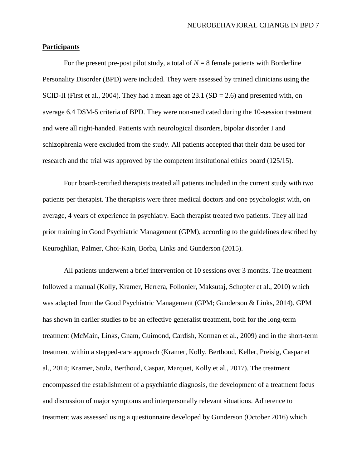#### **Participants**

For the present pre-post pilot study, a total of  $N = 8$  female patients with Borderline Personality Disorder (BPD) were included. They were assessed by trained clinicians using the SCID-II (First et al., 2004). They had a mean age of 23.1 ( $SD = 2.6$ ) and presented with, on average 6.4 DSM-5 criteria of BPD. They were non-medicated during the 10-session treatment and were all right-handed. Patients with neurological disorders, bipolar disorder I and schizophrenia were excluded from the study. All patients accepted that their data be used for research and the trial was approved by the competent institutional ethics board (125/15).

Four board-certified therapists treated all patients included in the current study with two patients per therapist. The therapists were three medical doctors and one psychologist with, on average, 4 years of experience in psychiatry. Each therapist treated two patients. They all had prior training in Good Psychiatric Management (GPM), according to the guidelines described by Keuroghlian, Palmer, Choi-Kain, Borba, Links and Gunderson (2015).

All patients underwent a brief intervention of 10 sessions over 3 months. The treatment followed a manual (Kolly, Kramer, Herrera, Follonier, Maksutaj, Schopfer et al., 2010) which was adapted from the Good Psychiatric Management (GPM; Gunderson & Links, 2014). GPM has shown in earlier studies to be an effective generalist treatment, both for the long-term treatment (McMain, Links, Gnam, Guimond, Cardish, Korman et al., 2009) and in the short-term treatment within a stepped-care approach (Kramer, Kolly, Berthoud, Keller, Preisig, Caspar et al., 2014; Kramer, Stulz, Berthoud, Caspar, Marquet, Kolly et al., 2017). The treatment encompassed the establishment of a psychiatric diagnosis, the development of a treatment focus and discussion of major symptoms and interpersonally relevant situations. Adherence to treatment was assessed using a questionnaire developed by Gunderson (October 2016) which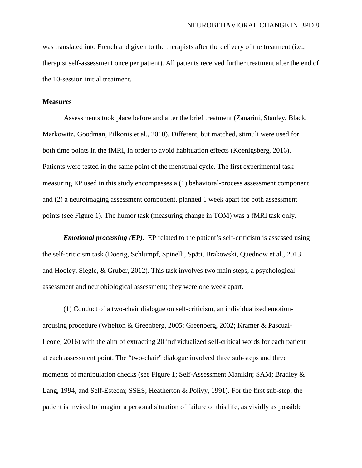was translated into French and given to the therapists after the delivery of the treatment (i.e., therapist self-assessment once per patient). All patients received further treatment after the end of the 10-session initial treatment.

#### **Measures**

Assessments took place before and after the brief treatment (Zanarini, Stanley, Black, Markowitz, Goodman, Pilkonis et al., 2010). Different, but matched, stimuli were used for both time points in the fMRI, in order to avoid habituation effects (Koenigsberg, 2016). Patients were tested in the same point of the menstrual cycle. The first experimental task measuring EP used in this study encompasses a (1) behavioral-process assessment component and (2) a neuroimaging assessment component, planned 1 week apart for both assessment points (see Figure 1). The humor task (measuring change in TOM) was a fMRI task only.

*Emotional processing (EP).* EP related to the patient's self-criticism is assessed using the self-criticism task (Doerig, Schlumpf, Spinelli, Späti, Brakowski, Quednow et al., 2013 and Hooley, Siegle, & Gruber, 2012). This task involves two main steps, a psychological assessment and neurobiological assessment; they were one week apart.

(1) Conduct of a two-chair dialogue on self-criticism, an individualized emotionarousing procedure (Whelton & Greenberg, 2005; Greenberg, 2002; Kramer & Pascual-Leone, 2016) with the aim of extracting 20 individualized self-critical words for each patient at each assessment point. The "two-chair" dialogue involved three sub-steps and three moments of manipulation checks (see Figure 1; Self-Assessment Manikin; SAM; Bradley & Lang, 1994, and Self-Esteem; SSES; Heatherton & Polivy, 1991). For the first sub-step, the patient is invited to imagine a personal situation of failure of this life, as vividly as possible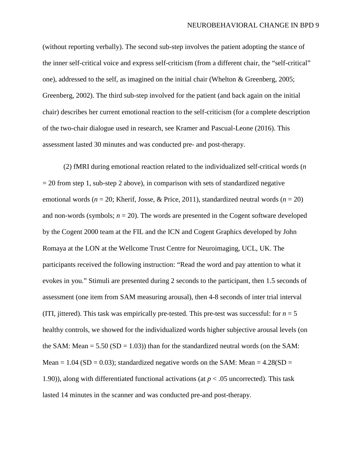(without reporting verbally). The second sub-step involves the patient adopting the stance of the inner self-critical voice and express self-criticism (from a different chair, the "self-critical" one), addressed to the self, as imagined on the initial chair (Whelton & Greenberg, 2005; Greenberg, 2002). The third sub-step involved for the patient (and back again on the initial chair) describes her current emotional reaction to the self-criticism (for a complete description of the two-chair dialogue used in research, see Kramer and Pascual-Leone (2016). This assessment lasted 30 minutes and was conducted pre- and post-therapy.

(2) fMRI during emotional reaction related to the individualized self-critical words (*n*  $= 20$  from step 1, sub-step 2 above), in comparison with sets of standardized negative emotional words (*n* = 20; Kherif, Josse, & Price, 2011), standardized neutral words (*n* = 20) and non-words (symbols;  $n = 20$ ). The words are presented in the Cogent software developed by the Cogent 2000 team at the FIL and the ICN and Cogent Graphics developed by John Romaya at the LON at the Wellcome Trust Centre for Neuroimaging, UCL, UK. The participants received the following instruction: "Read the word and pay attention to what it evokes in you." Stimuli are presented during 2 seconds to the participant, then 1.5 seconds of assessment (one item from SAM measuring arousal), then 4-8 seconds of inter trial interval (ITI, jittered). This task was empirically pre-tested. This pre-test was successful: for  $n = 5$ healthy controls, we showed for the individualized words higher subjective arousal levels (on the SAM: Mean  $= 5.50$  (SD  $= 1.03$ )) than for the standardized neutral words (on the SAM: Mean = 1.04 (SD = 0.03); standardized negative words on the SAM: Mean =  $4.28(SD =$ 1.90)), along with differentiated functional activations (at  $p < .05$  uncorrected). This task lasted 14 minutes in the scanner and was conducted pre-and post-therapy.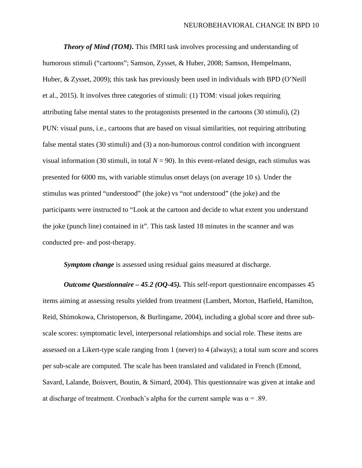*Theory of Mind (TOM)***.** This fMRI task involves processing and understanding of humorous stimuli ("cartoons"; Samson, Zysset, & Huber, 2008; Samson, Hempelmann, Huber, & Zysset, 2009); this task has previously been used in individuals with BPD (O'Neill et al., 2015). It involves three categories of stimuli: (1) TOM: visual jokes requiring attributing false mental states to the protagonists presented in the cartoons (30 stimuli), (2) PUN: visual puns, i.e., cartoons that are based on visual similarities, not requiring attributing false mental states (30 stimuli) and (3) a non-humorous control condition with incongruent visual information (30 stimuli, in total  $N = 90$ ). In this event-related design, each stimulus was presented for 6000 ms, with variable stimulus onset delays (on average 10 s). Under the stimulus was printed "understood" (the joke) vs "not understood" (the joke) and the participants were instructed to "Look at the cartoon and decide to what extent you understand the joke (punch line) contained in it". This task lasted 18 minutes in the scanner and was conducted pre- and post-therapy.

*Symptom change* is assessed using residual gains measured at discharge.

*Outcome Questionnaire – 45.2 (OQ-45).* This self-report questionnaire encompasses 45 items aiming at assessing results yielded from treatment (Lambert, Morton, Hatfield, Hamilton, Reid, Shimokowa, Christoperson, & Burlingame, 2004), including a global score and three subscale scores: symptomatic level, interpersonal relationships and social role. These items are assessed on a Likert-type scale ranging from 1 (never) to 4 (always); a total sum score and scores per sub-scale are computed. The scale has been translated and validated in French (Emond, Savard, Lalande, Boisvert, Boutin, & Simard, 2004). This questionnaire was given at intake and at discharge of treatment. Cronbach's alpha for the current sample was  $\alpha = .89$ .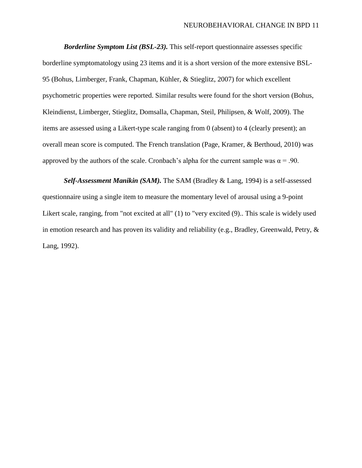*Borderline Symptom List (BSL-23).* This self-report questionnaire assesses specific borderline symptomatology using 23 items and it is a short version of the more extensive BSL-95 (Bohus, Limberger, Frank, Chapman, Kühler, & Stieglitz, 2007) for which excellent psychometric properties were reported. Similar results were found for the short version (Bohus, Kleindienst, Limberger, Stieglitz, Domsalla, Chapman, Steil, Philipsen, & Wolf, 2009). The items are assessed using a Likert-type scale ranging from 0 (absent) to 4 (clearly present); an overall mean score is computed. The French translation (Page, Kramer, & Berthoud, 2010) was approved by the authors of the scale. Cronbach's alpha for the current sample was  $\alpha = .90$ .

*Self-Assessment Manikin (SAM).* The SAM (Bradley & Lang, 1994) is a self-assessed questionnaire using a single item to measure the momentary level of arousal using a 9-point Likert scale, ranging, from "not excited at all" (1) to "very excited (9).. This scale is widely used in emotion research and has proven its validity and reliability (e.g., Bradley, Greenwald, Petry, & Lang, 1992).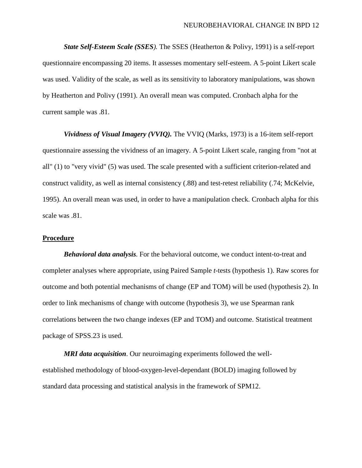*State Self-Esteem Scale (SSES).* The SSES (Heatherton & Polivy, 1991) is a self-report questionnaire encompassing 20 items. It assesses momentary self-esteem. A 5-point Likert scale was used. Validity of the scale, as well as its sensitivity to laboratory manipulations, was shown by Heatherton and Polivy (1991). An overall mean was computed. Cronbach alpha for the current sample was .81.

*Vividness of Visual Imagery (VVIQ).* The VVIQ (Marks, 1973) is a 16-item self-report questionnaire assessing the vividness of an imagery. A 5-point Likert scale, ranging from "not at all" (1) to "very vivid" (5) was used. The scale presented with a sufficient criterion-related and construct validity, as well as internal consistency (.88) and test-retest reliability (.74; McKelvie, 1995). An overall mean was used, in order to have a manipulation check. Cronbach alpha for this scale was .81.

#### **Procedure**

*Behavioral data analysis*. For the behavioral outcome, we conduct intent-to-treat and completer analyses where appropriate, using Paired Sample *t*-tests (hypothesis 1). Raw scores for outcome and both potential mechanisms of change (EP and TOM) will be used (hypothesis 2). In order to link mechanisms of change with outcome (hypothesis 3), we use Spearman rank correlations between the two change indexes (EP and TOM) and outcome. Statistical treatment package of SPSS.23 is used.

*MRI data acquisition*. Our neuroimaging experiments followed the wellestablished methodology of blood-oxygen-level-dependant (BOLD) imaging followed by standard data processing and statistical analysis in the framework of SPM12.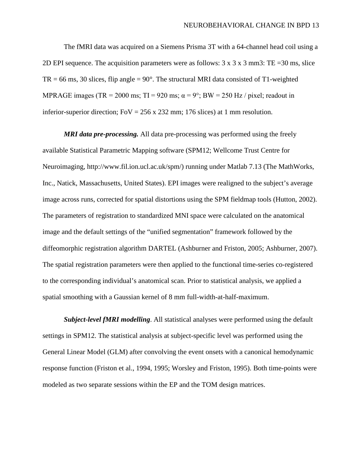The fMRI data was acquired on a Siemens Prisma 3T with a 64-channel head coil using a 2D EPI sequence. The acquisition parameters were as follows:  $3 \times 3 \times 3$  mm3: TE = 30 ms, slice  $TR = 66$  ms, 30 slices, flip angle =  $90^\circ$ . The structural MRI data consisted of T1-weighted MPRAGE images (TR = 2000 ms; TI = 920 ms;  $\alpha$  = 9°; BW = 250 Hz / pixel; readout in inferior-superior direction; FoV =  $256 \times 232$  mm; 176 slices) at 1 mm resolution.

*MRI data pre-processing.* All data pre-processing was performed using the freely available Statistical Parametric Mapping software (SPM12; Wellcome Trust Centre for Neuroimaging, http://www.fil.ion.ucl.ac.uk/spm/) running under Matlab 7.13 (The MathWorks, Inc., Natick, Massachusetts, United States). EPI images were realigned to the subject's average image across runs, corrected for spatial distortions using the SPM fieldmap tools (Hutton, 2002). The parameters of registration to standardized MNI space were calculated on the anatomical image and the default settings of the "unified segmentation" framework followed by the diffeomorphic registration algorithm DARTEL (Ashburner and Friston, 2005; Ashburner, 2007). The spatial registration parameters were then applied to the functional time-series co-registered to the corresponding individual's anatomical scan. Prior to statistical analysis, we applied a spatial smoothing with a Gaussian kernel of 8 mm full-width-at-half-maximum.

*Subject-level fMRI modelling*. All statistical analyses were performed using the default settings in SPM12. The statistical analysis at subject-specific level was performed using the General Linear Model (GLM) after convolving the event onsets with a canonical hemodynamic response function (Friston et al., 1994, 1995; Worsley and Friston, 1995). Both time-points were modeled as two separate sessions within the EP and the TOM design matrices.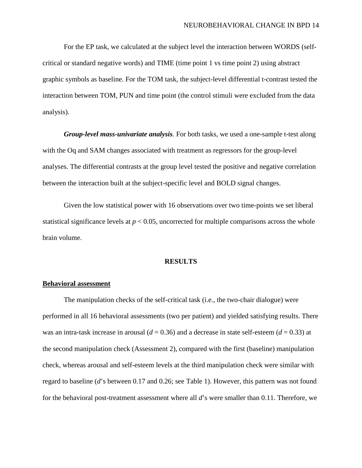For the EP task, we calculated at the subject level the interaction between WORDS (selfcritical or standard negative words) and TIME (time point 1 vs time point 2) using abstract graphic symbols as baseline. For the TOM task, the subject-level differential t-contrast tested the interaction between TOM, PUN and time point (the control stimuli were excluded from the data analysis).

*Group-level mass-univariate analysis*. For both tasks, we used a one-sample t-test along with the Oq and SAM changes associated with treatment as regressors for the group-level analyses. The differential contrasts at the group level tested the positive and negative correlation between the interaction built at the subject-specific level and BOLD signal changes.

Given the low statistical power with 16 observations over two time-points we set liberal statistical significance levels at  $p < 0.05$ , uncorrected for multiple comparisons across the whole brain volume.

#### **RESULTS**

#### **Behavioral assessment**

The manipulation checks of the self-critical task (i.e., the two-chair dialogue) were performed in all 16 behavioral assessments (two per patient) and yielded satisfying results. There was an intra-task increase in arousal  $(d = 0.36)$  and a decrease in state self-esteem  $(d = 0.33)$  at the second manipulation check (Assessment 2), compared with the first (baseline) manipulation check, whereas arousal and self-esteem levels at the third manipulation check were similar with regard to baseline (*d*'s between 0.17 and 0.26; see Table 1). However, this pattern was not found for the behavioral post-treatment assessment where all *d*'s were smaller than 0.11. Therefore, we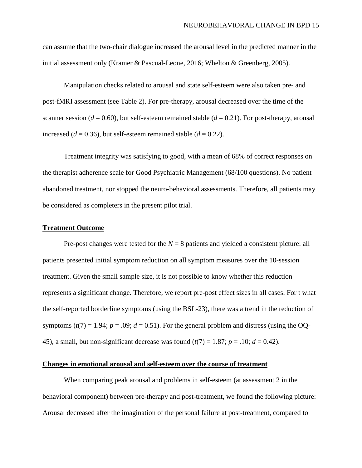can assume that the two-chair dialogue increased the arousal level in the predicted manner in the initial assessment only (Kramer & Pascual-Leone, 2016; Whelton & Greenberg, 2005).

Manipulation checks related to arousal and state self-esteem were also taken pre- and post-fMRI assessment (see Table 2). For pre-therapy, arousal decreased over the time of the scanner session ( $d = 0.60$ ), but self-esteem remained stable ( $d = 0.21$ ). For post-therapy, arousal increased ( $d = 0.36$ ), but self-esteem remained stable ( $d = 0.22$ ).

Treatment integrity was satisfying to good, with a mean of 68% of correct responses on the therapist adherence scale for Good Psychiatric Management (68/100 questions). No patient abandoned treatment, nor stopped the neuro-behavioral assessments. Therefore, all patients may be considered as completers in the present pilot trial.

#### **Treatment Outcome**

Pre-post changes were tested for the  $N = 8$  patients and yielded a consistent picture: all patients presented initial symptom reduction on all symptom measures over the 10-session treatment. Given the small sample size, it is not possible to know whether this reduction represents a significant change. Therefore, we report pre-post effect sizes in all cases. For t what the self-reported borderline symptoms (using the BSL-23), there was a trend in the reduction of symptoms  $(t(7) = 1.94; p = .09; d = 0.51)$ . For the general problem and distress (using the OQ-45), a small, but non-significant decrease was found  $(t(7) = 1.87; p = .10; d = 0.42)$ .

#### **Changes in emotional arousal and self-esteem over the course of treatment**

When comparing peak arousal and problems in self-esteem (at assessment 2 in the behavioral component) between pre-therapy and post-treatment, we found the following picture: Arousal decreased after the imagination of the personal failure at post-treatment, compared to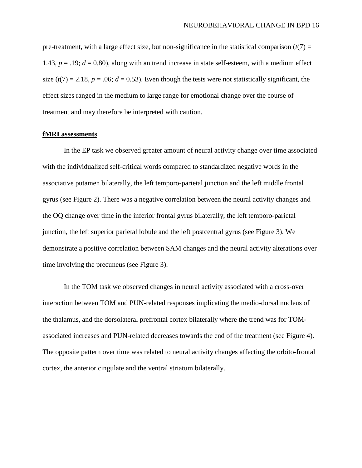pre-treatment, with a large effect size, but non-significance in the statistical comparison  $(t(7)$  = 1.43,  $p = .19$ ;  $d = 0.80$ ), along with an trend increase in state self-esteem, with a medium effect size  $(t(7) = 2.18, p = .06; d = 0.53)$ . Even though the tests were not statistically significant, the effect sizes ranged in the medium to large range for emotional change over the course of treatment and may therefore be interpreted with caution.

#### **fMRI assessments**

In the EP task we observed greater amount of neural activity change over time associated with the individualized self-critical words compared to standardized negative words in the associative putamen bilaterally, the left temporo-parietal junction and the left middle frontal gyrus (see Figure 2). There was a negative correlation between the neural activity changes and the OQ change over time in the inferior frontal gyrus bilaterally, the left temporo-parietal junction, the left superior parietal lobule and the left postcentral gyrus (see Figure 3). We demonstrate a positive correlation between SAM changes and the neural activity alterations over time involving the precuneus (see Figure 3).

In the TOM task we observed changes in neural activity associated with a cross-over interaction between TOM and PUN-related responses implicating the medio-dorsal nucleus of the thalamus, and the dorsolateral prefrontal cortex bilaterally where the trend was for TOMassociated increases and PUN-related decreases towards the end of the treatment (see Figure 4). The opposite pattern over time was related to neural activity changes affecting the orbito-frontal cortex, the anterior cingulate and the ventral striatum bilaterally.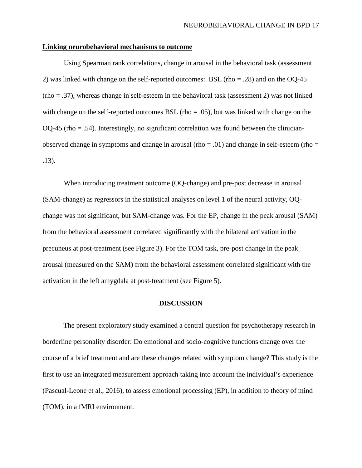#### **Linking neurobehavioral mechanisms to outcome**

Using Spearman rank correlations, change in arousal in the behavioral task (assessment 2) was linked with change on the self-reported outcomes: BSL (rho = .28) and on the OQ-45 (rho = .37), whereas change in self-esteem in the behavioral task (assessment 2) was not linked with change on the self-reported outcomes BSL (rho  $= .05$ ), but was linked with change on the OQ-45 (rho = .54). Interestingly, no significant correlation was found between the clinicianobserved change in symptoms and change in arousal (rho =  $.01$ ) and change in self-esteem (rho = .13).

When introducing treatment outcome (OQ-change) and pre-post decrease in arousal (SAM-change) as regressors in the statistical analyses on level 1 of the neural activity, OQchange was not significant, but SAM-change was. For the EP, change in the peak arousal (SAM) from the behavioral assessment correlated significantly with the bilateral activation in the precuneus at post-treatment (see Figure 3). For the TOM task, pre-post change in the peak arousal (measured on the SAM) from the behavioral assessment correlated significant with the activation in the left amygdala at post-treatment (see Figure 5).

#### **DISCUSSION**

The present exploratory study examined a central question for psychotherapy research in borderline personality disorder: Do emotional and socio-cognitive functions change over the course of a brief treatment and are these changes related with symptom change? This study is the first to use an integrated measurement approach taking into account the individual's experience (Pascual-Leone et al., 2016), to assess emotional processing (EP), in addition to theory of mind (TOM), in a fMRI environment.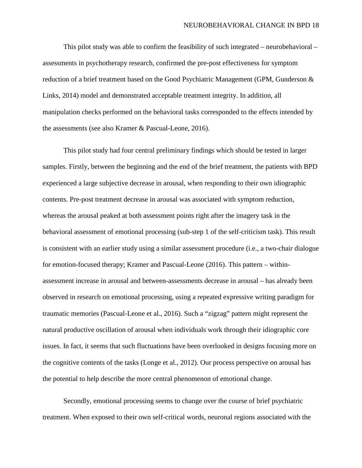This pilot study was able to confirm the feasibility of such integrated – neurobehavioral – assessments in psychotherapy research, confirmed the pre-post effectiveness for symptom reduction of a brief treatment based on the Good Psychiatric Management (GPM, Gunderson & Links, 2014) model and demonstrated acceptable treatment integrity. In addition, all manipulation checks performed on the behavioral tasks corresponded to the effects intended by the assessments (see also Kramer & Pascual-Leone, 2016).

This pilot study had four central preliminary findings which should be tested in larger samples. Firstly, between the beginning and the end of the brief treatment, the patients with BPD experienced a large subjective decrease in arousal, when responding to their own idiographic contents. Pre-post treatment decrease in arousal was associated with symptom reduction, whereas the arousal peaked at both assessment points right after the imagery task in the behavioral assessment of emotional processing (sub-step 1 of the self-criticism task). This result is consistent with an earlier study using a similar assessment procedure (i.e., a two-chair dialogue for emotion-focused therapy; Kramer and Pascual-Leone (2016). This pattern – withinassessment increase in arousal and between-assessments decrease in arousal – has already been observed in research on emotional processing, using a repeated expressive writing paradigm for traumatic memories (Pascual-Leone et al., 2016). Such a "zigzag" pattern might represent the natural productive oscillation of arousal when individuals work through their idiographic core issues. In fact, it seems that such fluctuations have been overlooked in designs focusing more on the cognitive contents of the tasks (Longe et al., 2012). Our process perspective on arousal has the potential to help describe the more central phenomenon of emotional change.

Secondly, emotional processing seems to change over the course of brief psychiatric treatment. When exposed to their own self-critical words, neuronal regions associated with the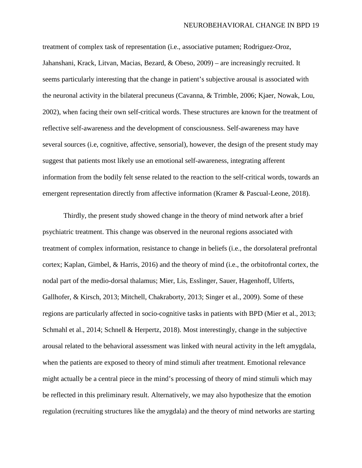treatment of complex task of representation (i.e., associative putamen; Rodriguez-Oroz, Jahanshani, Krack, Litvan, Macias, Bezard, & Obeso, 2009) – are increasingly recruited. It seems particularly interesting that the change in patient's subjective arousal is associated with the neuronal activity in the bilateral precuneus (Cavanna, & Trimble, 2006; Kjaer, Nowak, Lou, 2002), when facing their own self-critical words. These structures are known for the treatment of reflective self-awareness and the development of consciousness. Self-awareness may have several sources (i.e, cognitive, affective, sensorial), however, the design of the present study may suggest that patients most likely use an emotional self-awareness, integrating afferent information from the bodily felt sense related to the reaction to the self-critical words, towards an emergent representation directly from affective information (Kramer & Pascual-Leone, 2018).

Thirdly, the present study showed change in the theory of mind network after a brief psychiatric treatment. This change was observed in the neuronal regions associated with treatment of complex information, resistance to change in beliefs (i.e., the dorsolateral prefrontal cortex; Kaplan, Gimbel, & Harris, 2016) and the theory of mind (i.e., the orbitofrontal cortex, the nodal part of the medio-dorsal thalamus; Mier, Lis, Esslinger, Sauer, Hagenhoff, Ulferts, Gallhofer, & Kirsch, 2013; Mitchell, Chakraborty, 2013; Singer et al., 2009). Some of these regions are particularly affected in socio-cognitive tasks in patients with BPD (Mier et al., 2013; Schmahl et al., 2014; Schnell & Herpertz, 2018). Most interestingly, change in the subjective arousal related to the behavioral assessment was linked with neural activity in the left amygdala, when the patients are exposed to theory of mind stimuli after treatment. Emotional relevance might actually be a central piece in the mind's processing of theory of mind stimuli which may be reflected in this preliminary result. Alternatively, we may also hypothesize that the emotion regulation (recruiting structures like the amygdala) and the theory of mind networks are starting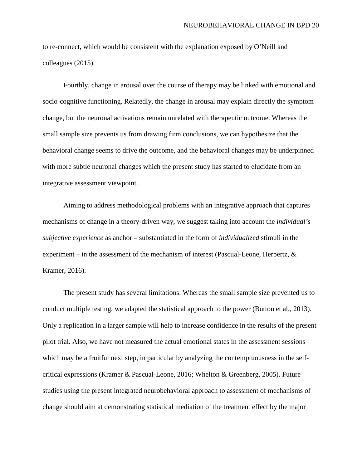to re-connect, which would be consistent with the explanation exposed by O'Neill and colleagues (2015).

Fourthly, change in arousal over the course of therapy may be linked with emotional and socio-cognitive functioning. Relatedly, the change in arousal may explain directly the symptom change, but the neuronal activations remain unrelated with therapeutic outcome. Whereas the small sample size prevents us from drawing firm conclusions, we can hypothesize that the behavioral change seems to drive the outcome, and the behavioral changes may be underpinned with more subtle neuronal changes which the present study has started to elucidate from an integrative assessment viewpoint.

Aiming to address methodological problems with an integrative approach that captures mechanisms of change in a theory-driven way, we suggest taking into account the *individual's subjective experience* as anchor – substantiated in the form of *individualized* stimuli in the experiment – in the assessment of the mechanism of interest (Pascual-Leone, Herpertz,  $\&$ Kramer, 2016).

The present study has several limitations. Whereas the small sample size prevented us to conduct multiple testing, we adapted the statistical approach to the power (Button et al., 2013). Only a replication in a larger sample will help to increase confidence in the results of the present pilot trial. Also, we have not measured the actual emotional states in the assessment sessions which may be a fruitful next step, in particular by analyzing the contemptuousness in the selfcritical expressions (Kramer & Pascual-Leone, 2016; Whelton & Greenberg, 2005). Future studies using the present integrated neurobehavioral approach to assessment of mechanisms of change should aim at demonstrating statistical mediation of the treatment effect by the major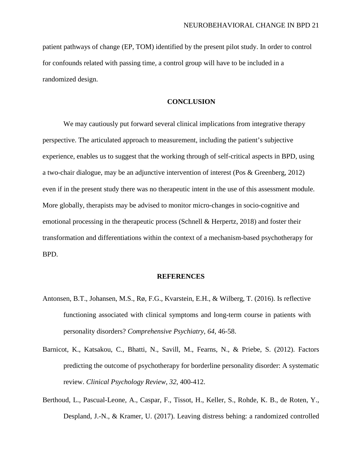patient pathways of change (EP, TOM) identified by the present pilot study. In order to control for confounds related with passing time, a control group will have to be included in a randomized design.

#### **CONCLUSION**

We may cautiously put forward several clinical implications from integrative therapy perspective. The articulated approach to measurement, including the patient's subjective experience, enables us to suggest that the working through of self-critical aspects in BPD, using a two-chair dialogue, may be an adjunctive intervention of interest (Pos & Greenberg, 2012) even if in the present study there was no therapeutic intent in the use of this assessment module. More globally, therapists may be advised to monitor micro-changes in socio-cognitive and emotional processing in the therapeutic process (Schnell & Herpertz, 2018) and foster their transformation and differentiations within the context of a mechanism-based psychotherapy for BPD.

#### **REFERENCES**

- Antonsen, B.T., Johansen, M.S., Rø, F.G., Kvarstein, E.H., & Wilberg, T. (2016). Is reflective functioning associated with clinical symptoms and long-term course in patients with personality disorders? *Comprehensive Psychiatry*, *64*, 46-58.
- Barnicot, K., Katsakou, C., Bhatti, N., Savill, M., Fearns, N., & Priebe, S. (2012). Factors predicting the outcome of psychotherapy for borderline personality disorder: A systematic review. *Clinical Psychology Review, 32*, 400-412.
- Berthoud, L., Pascual-Leone, A., Caspar, F., Tissot, H., Keller, S., Rohde, K. B., de Roten, Y., Despland, J.-N., & Kramer, U. (2017). Leaving distress behing: a randomized controlled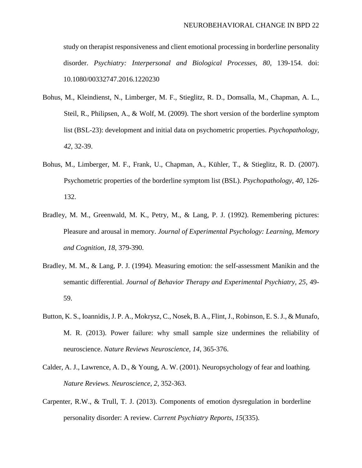study on therapist responsiveness and client emotional processing in borderline personality disorder. *Psychiatry: Interpersonal and Biological Processes, 80,* 139-154. doi: 10.1080/00332747.2016.1220230

- Bohus, M., Kleindienst, N., Limberger, M. F., Stieglitz, R. D., Domsalla, M., Chapman, A. L., Steil, R., Philipsen, A., & Wolf, M. (2009). The short version of the borderline symptom list (BSL-23): development and initial data on psychometric properties. *Psychopathology, 42*, 32-39.
- Bohus, M., Limberger, M. F., Frank, U., Chapman, A., Kühler, T., & Stieglitz, R. D. (2007). Psychometric properties of the borderline symptom list (BSL). *Psychopathology, 40*, 126- 132.
- Bradley, M. M., Greenwald, M. K., Petry, M., & Lang, P. J. (1992). Remembering pictures: Pleasure and arousal in memory. *Journal of Experimental Psychology: Learning, Memory and Cognition, 18*, 379-390.
- Bradley, M. M., & Lang, P. J. (1994). Measuring emotion: the self-assessment Manikin and the semantic differential. *Journal of Behavior Therapy and Experimental Psychiatry, 25*, 49- 59.
- Button, K. S., Ioannidis, J. P. A., Mokrysz, C., Nosek, B. A., Flint, J., Robinson, E. S. J., & Munafo, M. R. (2013). Power failure: why small sample size undermines the reliability of neuroscience. *Nature Reviews Neuroscience, 14*, 365-376.
- Calder, A. J., Lawrence, A. D., & Young, A. W. (2001). Neuropsychology of fear and loathing*. Nature Reviews. Neuroscience, 2*, 352-363.
- Carpenter, R.W., & Trull, T. J. (2013). Components of emotion dysregulation in borderline personality disorder: A review. *Current Psychiatry Reports, 15*(335).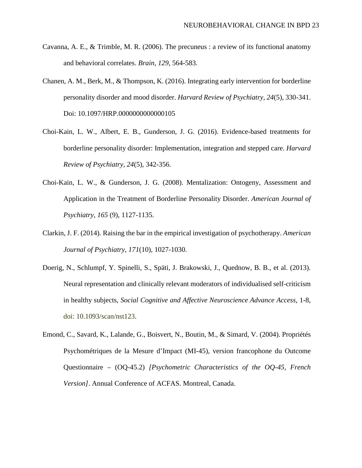- Cavanna, A. E., & Trimble, M. R. (2006). The precuneus : a review of its functional anatomy and behavioral correlates. *Brain, 129*, 564-583.
- Chanen, A. M., Berk, M., & Thompson, K. (2016). Integrating early intervention for borderline personality disorder and mood disorder. *Harvard Review of Psychiatry, 24*(5), 330-341. Doi: 10.1097/HRP.0000000000000105
- Choi-Kain, L. W., Albert, E. B., Gunderson, J. G. (2016). Evidence-based treatments for borderline personality disorder: Implementation, integration and stepped care. *Harvard Review of Psychiatry, 24*(5), 342-356.
- Choi-Kain, L. W., & Gunderson, J. G. (2008). Mentalization: Ontogeny, Assessment and Application in the Treatment of Borderline Personality Disorder. *American Journal of Psychiatry, 165* (9), 1127-1135.
- Clarkin, J. F. (2014). Raising the bar in the empirical investigation of psychotherapy. *American Journal of Psychiatry, 171*(10), 1027-1030.
- Doerig, N., Schlumpf, Y. Spinelli, S., Späti, J. Brakowski, J., Quednow, B. B., et al. (2013). Neural representation and clinically relevant moderators of individualised self-criticism in healthy subjects, *Social Cognitive and Affective Neuroscience Advance Access*, 1-8, doi: 10.1093/scan/nst123.
- Emond, C., Savard, K., Lalande, G., Boisvert, N., Boutin, M., & Simard, V. (2004). Propriétés Psychométriques de la Mesure d'Impact (MI-45), version francophone du Outcome Questionnaire – (OQ-45.2) *[Psychometric Characteristics of the OQ-45, French Version]*. Annual Conference of ACFAS. Montreal, Canada.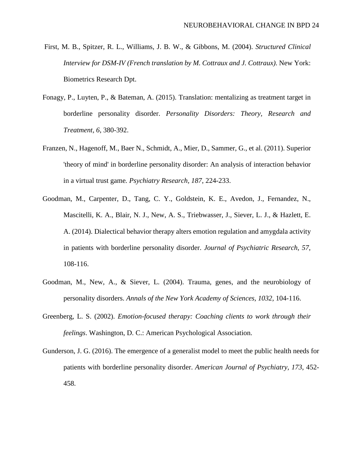- First, M. B., Spitzer, R. L., Williams, J. B. W., & Gibbons, M. (2004). *Structured Clinical Interview for DSM-IV (French translation by M. Cottraux and J. Cottraux)*. New York: Biometrics Research Dpt.
- Fonagy, P., Luyten, P., & Bateman, A. (2015). Translation: mentalizing as treatment target in borderline personality disorder. *Personality Disorders: Theory, Research and Treatment, 6*, 380-392.
- Franzen, N., Hagenoff, M., Baer N., Schmidt, A., Mier, D., Sammer, G., et al. (2011). Superior 'theory of mind' in borderline personality disorder: An analysis of interaction behavior in a virtual trust game*. Psychiatry Research, 187*, 224-233.
- Goodman, M., Carpenter, D., Tang, C. Y., Goldstein, K. E., Avedon, J., Fernandez, N., Mascitelli, K. A., Blair, N. J., New, A. S., Triebwasser, J., Siever, L. J., & Hazlett, E. A. (2014). Dialectical behavior therapy alters emotion regulation and amygdala activity in patients with borderline personality disorder. *Journal of Psychiatric Research, 57*, 108-116.
- Goodman, M., New, A., & Siever, L. (2004). Trauma, genes, and the neurobiology of personality disorders. *Annals of the New York Academy of Sciences, 1032,* 104-116.
- Greenberg, L. S. (2002). *Emotion-focused therapy: Coaching clients to work through their feelings*. Washington, D. C.: American Psychological Association.
- Gunderson, J. G. (2016). The emergence of a generalist model to meet the public health needs for patients with borderline personality disorder. *American Journal of Psychiatry, 173*, 452- 458.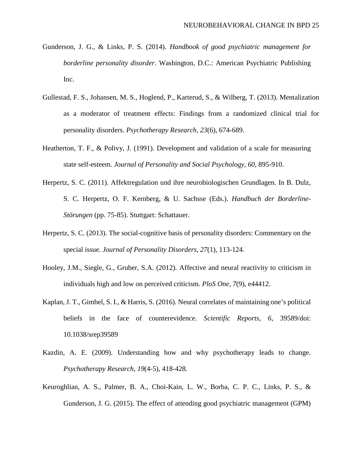- Gunderson, J. G., & Links, P. S. (2014). *Handbook of good psychiatric management for borderline personality disorder*. Washington, D.C.: American Psychiatric Publishing Inc.
- Gullestad, F. S., Johansen, M. S., Hoglend, P., Karterud, S., & Wilberg, T. (2013). Mentalization as a moderator of treatment effects: Findings from a randomized clinical trial for personality disorders. *Psychotherapy Research, 23*(6), 674-689.
- Heatherton, T. F., & Polivy, J. (1991). Development and validation of a scale for measuring state self-esteem. *Journal of Personality and Social Psychology, 60*, 895-910.
- Herpertz, S. C. (2011). Affektregulation und ihre neurobiologischen Grundlagen. In B. Dulz, S. C. Herpertz, O. F. Kernberg, & U. Sachsse (Eds.). *Handbuch der Borderline-Störungen* (pp. 75-85). Stuttgart: Schattauer.
- Herpertz, S. C. (2013). The social-cognitive basis of personality disorders: Commentary on the special issue. *Journal of Personality Disorders, 27*(1), 113-124.
- Hooley, J.M., Siegle, G., Gruber, S.A. (2012). Affective and neural reactivity to criticism in individuals high and low on perceived criticism. *PloS One, 7*(9), e44412.
- Kaplan, J. T., Gimbel, S. I., & Harris, S. (2016). Neural correlates of maintaining one's political beliefs in the face of counterevidence. *Scientific Reports, 6,* 39589/doi: 10.1038/srep39589
- Kazdin, A. E. (2009). Understanding how and why psychotherapy leads to change. *Psychotherapy Research, 19*(4-5), 418-428.
- Keuroghlian, A. S., Palmer, B. A., Choi-Kain, L. W., Borba, C. P. C., Links, P. S., & Gunderson, J. G. (2015). The effect of attending good psychiatric management (GPM)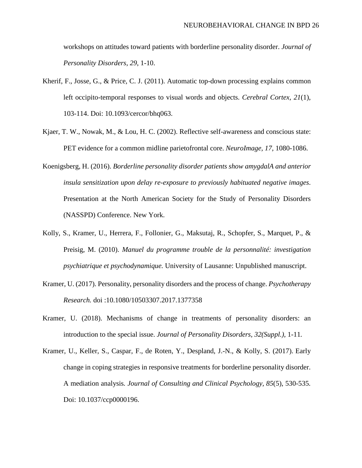workshops on attitudes toward patients with borderline personality disorder. *Journal of Personality Disorders, 29*, 1-10.

- Kherif, F., Josse, G., & Price, C. J. (2011). Automatic top-down processing explains common left occipito-temporal responses to visual words and objects. *Cerebral Cortex, 21*(1), 103-114. Doi: 10.1093/cercor/bhq063.
- Kjaer, T. W., Nowak, M., & Lou, H. C. (2002). Reflective self-awareness and conscious state: PET evidence for a common midline parietofrontal core. *NeuroImage, 17,* 1080-1086.
- Koenigsberg, H. (2016). *Borderline personality disorder patients show amygdalA and anterior insula sensitization upon delay re-exposure to previously habituated negative images*. Presentation at the North American Society for the Study of Personality Disorders (NASSPD) Conference. New York.
- Kolly, S., Kramer, U., Herrera, F., Follonier, G., Maksutaj, R., Schopfer, S., Marquet, P., & Preisig, M. (2010). *Manuel du programme trouble de la personnalité: investigation psychiatrique et psychodynamique.* University of Lausanne: Unpublished manuscript.
- Kramer, U. (2017). Personality, personality disorders and the process of change. *Psychotherapy Research.* doi :10.1080/10503307.2017.1377358
- Kramer, U. (2018). Mechanisms of change in treatments of personality disorders: an introduction to the special issue. *Journal of Personality Disorders, 32(Suppl.),* 1-11*.*
- Kramer, U., Keller, S., Caspar, F., de Roten, Y., Despland, J.-N., & Kolly, S. (2017). Early change in coping strategies in responsive treatments for borderline personality disorder. A mediation analysis*. Journal of Consulting and Clinical Psychology, 85*(5), 530-535*.* Doi: 10.1037/ccp0000196.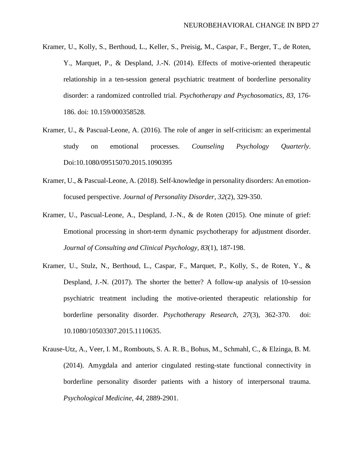- Kramer, U., Kolly, S., Berthoud, L., Keller, S., Preisig, M., Caspar, F., Berger, T., de Roten, Y., Marquet, P., & Despland, J.-N. (2014). Effects of motive-oriented therapeutic relationship in a ten-session general psychiatric treatment of borderline personality disorder: a randomized controlled trial. *Psychotherapy and Psychosomatics, 83,* 176- 186. doi: 10.159/000358528.
- Kramer, U., & Pascual-Leone, A. (2016). The role of anger in self-criticism: an experimental study on emotional processes. *Counseling Psychology Quarterly*. Doi:10.1080/09515070.2015.1090395
- Kramer, U., & Pascual-Leone, A. (2018). Self-knowledge in personality disorders: An emotionfocused perspective. *Journal of Personality Disorder, 32*(2), 329-350.
- Kramer, U., Pascual-Leone, A., Despland, J.-N., & de Roten (2015). One minute of grief: Emotional processing in short-term dynamic psychotherapy for adjustment disorder. *Journal of Consulting and Clinical Psychology, 83*(1), 187-198.
- Kramer, U., Stulz, N., Berthoud, L., Caspar, F., Marquet, P., Kolly, S., de Roten, Y., & Despland, J.-N. (2017). The shorter the better? A follow-up analysis of 10-session psychiatric treatment including the motive-oriented therapeutic relationship for borderline personality disorder. *Psychotherapy Research, 27*(3), 362-370. doi: 10.1080/10503307.2015.1110635.
- Krause-Utz, A., Veer, I. M., Rombouts, S. A. R. B., Bohus, M., Schmahl, C., & Elzinga, B. M. (2014). Amygdala and anterior cingulated resting-state functional connectivity in borderline personality disorder patients with a history of interpersonal trauma. *Psychological Medicine, 44*, 2889-2901.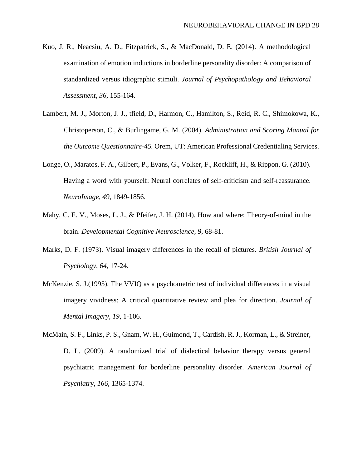- Kuo, J. R., Neacsiu, A. D., Fitzpatrick, S., & MacDonald, D. E. (2014). A methodological examination of emotion inductions in borderline personality disorder: A comparison of standardized versus idiographic stimuli. *Journal of Psychopathology and Behavioral Assessment, 36*, 155-164.
- Lambert, M. J., Morton, J. J., tfield, D., Harmon, C., Hamilton, S., Reid, R. C., Shimokowa, K., Christoperson, C., & Burlingame, G. M. (2004). *Administration and Scoring Manual for the Outcome Questionnaire-45.* Orem, UT: American Professional Credentialing Services.
- Longe, O., Maratos, F. A., Gilbert, P., Evans, G., Volker, F., Rockliff, H., & Rippon, G. (2010). Having a word with yourself: Neural correlates of self-criticism and self-reassurance. *NeuroImage, 49*, 1849-1856.
- Mahy, C. E. V., Moses, L. J., & Pfeifer, J. H. (2014). How and where: Theory-of-mind in the brain. *Developmental Cognitive Neuroscience, 9*, 68-81.
- Marks, D. F. (1973). Visual imagery differences in the recall of pictures. *British Journal of Psychology, 64,* 17-24.
- McKenzie, S. J.(1995). The VVIQ as a psychometric test of individual differences in a visual imagery vividness: A critical quantitative review and plea for direction. *Journal of Mental Imagery, 19*, 1-106.
- McMain, S. F., Links, P. S., Gnam, W. H., Guimond, T., Cardish, R. J., Korman, L., & Streiner, D. L. (2009). A randomized trial of dialectical behavior therapy versus general psychiatric management for borderline personality disorder. *American Journal of Psychiatry, 166*, 1365-1374.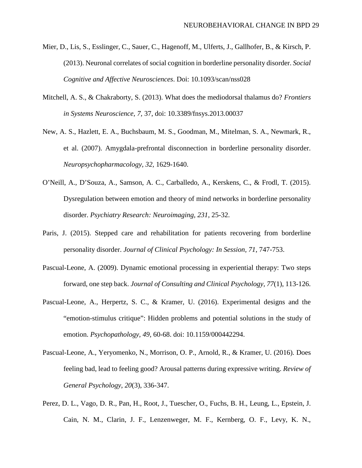- Mier, D., Lis, S., Esslinger, C., Sauer, C., Hagenoff, M., Ulferts, J., Gallhofer, B., & Kirsch, P. (2013). Neuronal correlates of social cognition in borderline personality disorder. *Social Cognitive and Affective Neurosciences*. Doi: 10.1093/scan/nss028
- Mitchell, A. S., & Chakraborty, S. (2013). What does the mediodorsal thalamus do? *Frontiers in Systems Neuroscience, 7,* 37, doi: 10.3389/fnsys.2013.00037
- New, A. S., Hazlett, E. A., Buchsbaum, M. S., Goodman, M., Mitelman, S. A., Newmark, R., et al. (2007). Amygdala-prefrontal disconnection in borderline personality disorder. *Neuropsychopharmacology, 32,* 1629-1640.
- O'Neill, A., D'Souza, A., Samson, A. C., Carballedo, A., Kerskens, C., & Frodl, T. (2015). Dysregulation between emotion and theory of mind networks in borderline personality disorder. *Psychiatry Research: Neuroimaging, 231*, 25-32.
- Paris, J. (2015). Stepped care and rehabilitation for patients recovering from borderline personality disorder. *Journal of Clinical Psychology: In Session, 71*, 747-753.
- Pascual-Leone, A. (2009). Dynamic emotional processing in experiential therapy: Two steps forward, one step back. *Journal of Consulting and Clinical Psychology, 77*(1), 113-126.
- Pascual-Leone, A., Herpertz, S. C., & Kramer, U. (2016). Experimental designs and the "emotion-stimulus critique": Hidden problems and potential solutions in the study of emotion. *Psychopathology, 49,* 60-68. doi: 10.1159/000442294.
- Pascual-Leone, A., Yeryomenko, N., Morrison, O. P., Arnold, R., & Kramer, U. (2016). Does feeling bad, lead to feeling good? Arousal patterns during expressive writing. *Review of General Psychology, 20*(3), 336-347.
- Perez, D. L., Vago, D. R., Pan, H., Root, J., Tuescher, O., Fuchs, B. H., Leung, L., Epstein, J. Cain, N. M., Clarin, J. F., Lenzenweger, M. F., Kernberg, O. F., Levy, K. N.,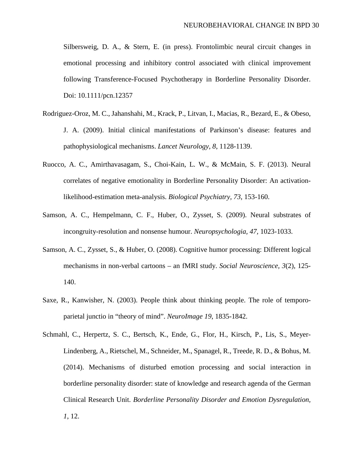Silbersweig, D. A., & Stern, E. (in press). Frontolimbic neural circuit changes in emotional processing and inhibitory control associated with clinical improvement following Transference-Focused Psychotherapy in Borderline Personality Disorder. Doi: 10.1111/pcn.12357

- Rodriguez-Oroz, M. C., Jahanshahi, M., Krack, P., Litvan, I., Macias, R., Bezard, E., & Obeso, J. A. (2009). Initial clinical manifestations of Parkinson's disease: features and pathophysiological mechanisms. *Lancet Neurology, 8*, 1128-1139.
- Ruocco, A. C., Amirthavasagam, S., Choi-Kain, L. W., & McMain, S. F. (2013). Neural correlates of negative emotionality in Borderline Personality Disorder: An activationlikelihood-estimation meta-analysis. *Biological Psychiatry, 73*, 153-160.
- Samson, A. C., Hempelmann, C. F., Huber, O., Zysset, S. (2009). Neural substrates of incongruity-resolution and nonsense humour. *Neuropsychologia, 47,* 1023-1033.
- Samson, A. C., Zysset, S., & Huber, O. (2008). Cognitive humor processing: Different logical mechanisms in non-verbal cartoons – an fMRI study. *Social Neuroscience, 3*(2), 125- 140.
- Saxe, R., Kanwisher, N. (2003). People think about thinking people. The role of temporoparietal junctio in "theory of mind". *NeuroImage 19*, 1835-1842.
- Schmahl, C., Herpertz, S. C., Bertsch, K., Ende, G., Flor, H., Kirsch, P., Lis, S., Meyer-Lindenberg, A., Rietschel, M., Schneider, M., Spanagel, R., Treede, R. D., & Bohus, M. (2014). Mechanisms of disturbed emotion processing and social interaction in borderline personality disorder: state of knowledge and research agenda of the German Clinical Research Unit. *Borderline Personality Disorder and Emotion Dysregulation, 1*, 12.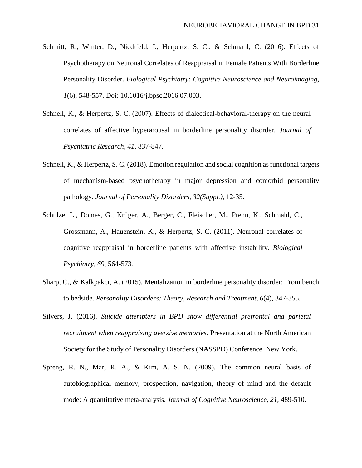- Schmitt, R., Winter, D., Niedtfeld, I., Herpertz, S. C., & Schmahl, C. (2016). Effects of Psychotherapy on Neuronal Correlates of Reappraisal in Female Patients With Borderline Personality Disorder. *Biological Psychiatry: Cognitive Neuroscience and Neuroimaging, 1*(6), 548-557. Doi: 10.1016/j.bpsc.2016.07.003.
- Schnell, K., & Herpertz, S. C. (2007). Effects of dialectical-behavioral-therapy on the neural correlates of affective hyperarousal in borderline personality disorder. *Journal of Psychiatric Research, 41*, 837-847.
- Schnell, K., & Herpertz, S. C. (2018). Emotion regulation and social cognition as functional targets of mechanism-based psychotherapy in major depression and comorbid personality pathology. *Journal of Personality Disorders, 32(Suppl.),* 12-35.
- Schulze, L., Domes, G., Krüger, A., Berger, C., Fleischer, M., Prehn, K., Schmahl, C., Grossmann, A., Hauenstein, K., & Herpertz, S. C. (2011). Neuronal correlates of cognitive reappraisal in borderline patients with affective instability. *Biological Psychiatry, 69,* 564-573.
- Sharp, C., & Kalkpakci, A. (2015). Mentalization in borderline personality disorder: From bench to bedside. *Personality Disorders: Theory, Research and Treatment, 6*(4), 347-355.
- Silvers, J. (2016). *Suicide attempters in BPD show differential prefrontal and parietal recruitment when reappraising aversive memories*. Presentation at the North American Society for the Study of Personality Disorders (NASSPD) Conference. New York.
- Spreng, R. N., Mar, R. A., & Kim, A. S. N. (2009). The common neural basis of autobiographical memory, prospection, navigation, theory of mind and the default mode: A quantitative meta-analysis. *Journal of Cognitive Neuroscience, 21*, 489-510.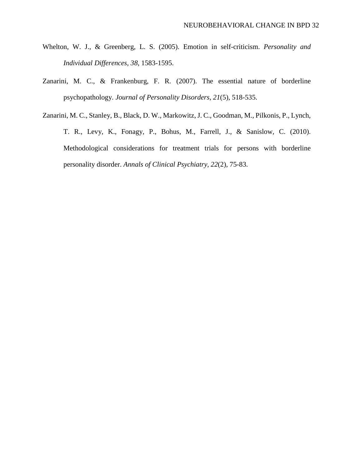- Whelton, W. J., & Greenberg, L. S. (2005). Emotion in self-criticism. *Personality and Individual Differences, 38*, 1583-1595.
- Zanarini, M. C., & Frankenburg, F. R. (2007). The essential nature of borderline psychopathology. *Journal of Personality Disorders, 21*(5), 518-535.
- Zanarini, M. C., Stanley, B., Black, D. W., Markowitz, J. C., Goodman, M., Pilkonis, P., Lynch, T. R., Levy, K., Fonagy, P., Bohus, M., Farrell, J., & Sanislow, C. (2010). Methodological considerations for treatment trials for persons with borderline personality disorder. *Annals of Clinical Psychiatry, 22*(2), 75-83.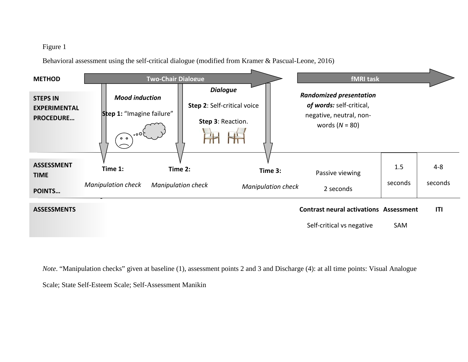### Figure 1

Behavioral assessment using the self-critical dialogue (modified from Kramer & Pascual-Leone, 2016)

| <b>METHOD</b>                                              | <b>Two-Chair Dialogue</b>                                                     |                                      |                                                                     | <b>fMRI</b> task                                                                                          |                |                    |
|------------------------------------------------------------|-------------------------------------------------------------------------------|--------------------------------------|---------------------------------------------------------------------|-----------------------------------------------------------------------------------------------------------|----------------|--------------------|
| <b>STEPS IN</b><br><b>EXPERIMENTAL</b><br><b>PROCEDURE</b> | <b>Mood induction</b><br>Step 1: "Imagine failure"<br>ح0ه.<br>$\circ$ $\circ$ |                                      | <b>Dialogue</b><br>Step 2: Self-critical voice<br>Step 3: Reaction. | <b>Randomized presentation</b><br>of words: self-critical,<br>negative, neutral, non-<br>words $(N = 80)$ |                |                    |
| <b>ASSESSMENT</b><br><b>TIME</b><br><b>POINTS</b>          | Time 1:<br><b>Manipulation check</b>                                          | Time 2:<br><b>Manipulation check</b> | Time 3:<br><b>Manipulation check</b>                                | Passive viewing<br>2 seconds                                                                              | 1.5<br>seconds | $4 - 8$<br>seconds |

#### **ASSESSMENTS**

#### **Contrast neural activations Assessment ITI**

Self-critical vs negative SAM

*Note*. "Manipulation checks" given at baseline (1), assessment points 2 and 3 and Discharge (4): at all time points: Visual Analogue

Scale; State Self-Esteem Scale; Self-Assessment Manikin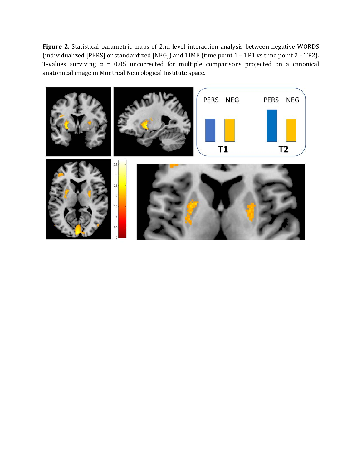**Figure 2.** Statistical parametric maps of 2nd level interaction analysis between negative WORDS (individualized [PERS] or standardized [NEG]) and TIME (time point 1 – TP1 vs time point 2 – TP2). T-values surviving  $\alpha$  = 0.05 uncorrected for multiple comparisons projected on a canonical anatomical image in Montreal Neurological Institute space.

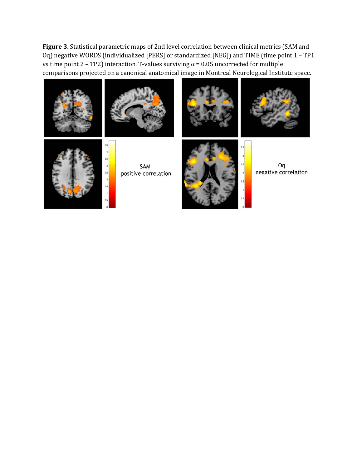**Figure 3.** Statistical parametric maps of 2nd level correlation between clinical metrics (SAM and Oq) negative WORDS (individualized [PERS] or standardized [NEG]) and TIME (time point 1 – TP1 vs time point  $2$  – TP2) interaction. T-values surviving  $α = 0.05$  uncorrected for multiple comparisons projected on a canonical anatomical image in Montreal Neurological Institute space.











 $\mathbf 3$ 

SAM positive correlation



Oq negative correlation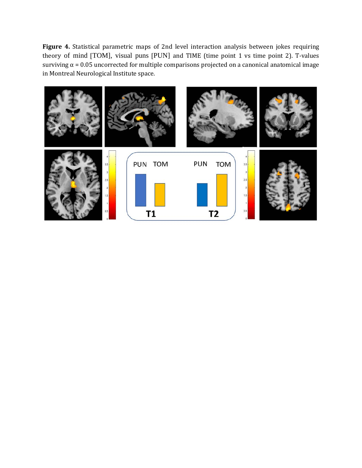**Figure 4.** Statistical parametric maps of 2nd level interaction analysis between jokes requiring theory of mind [TOM], visual puns [PUN] and TIME (time point 1 vs time point 2). T-values surviving  $\alpha$  = 0.05 uncorrected for multiple comparisons projected on a canonical anatomical image in Montreal Neurological Institute space.